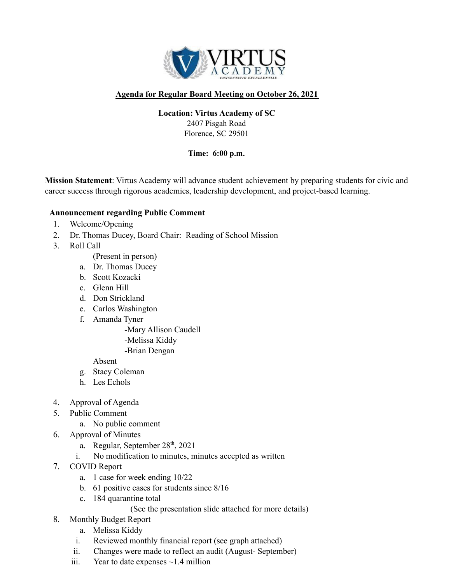

## **Agenda for Regular Board Meeting on October 26, 2021**

#### **Location: Virtus Academy of SC**

2407 Pisgah Road Florence, SC 29501

**Time: 6:00 p.m.**

**Mission Statement**: Virtus Academy will advance student achievement by preparing students for civic and career success through rigorous academics, leadership development, and project-based learning.

#### **Announcement regarding Public Comment**

- 1. Welcome/Opening
- 2. Dr. Thomas Ducey, Board Chair: Reading of School Mission
- 3. Roll Call
	- (Present in person)
	- a. Dr. Thomas Ducey
	- b. Scott Kozacki
	- c. Glenn Hill
	- d. Don Strickland
	- e. Carlos Washington
	- f. Amanda Tyner

-Mary Allison Caudell -Melissa Kiddy -Brian Dengan

Absent

- g. Stacy Coleman
- h. Les Echols
- 4. Approval of Agenda
- 5. Public Comment
	- a. No public comment
- 6. Approval of Minutes
	- a. Regular, September 28<sup>th</sup>, 2021
	- i. No modification to minutes, minutes accepted as written
- 7. COVID Report
	- a. 1 case for week ending 10/22
	- b. 61 positive cases for students since 8/16
	- c. 184 quarantine total
		- (See the presentation slide attached for more details)
- 8. Monthly Budget Report
	- a. Melissa Kiddy
	- i. Reviewed monthly financial report (see graph attached)
	- ii. Changes were made to reflect an audit (August- September)
	- iii. Year to date expenses  $\sim$ 1.4 million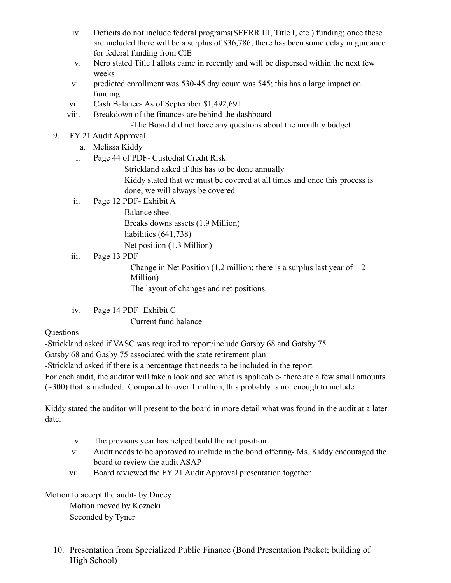- iv. Deficits do not include federal programs(SEERR III, Title I, etc.) funding; once these are included there will be a surplus of \$36,786; there has been some delay in guidance for federal funding from CIE
- v. Nero stated Title I allots came in recently and will be dispersed within the next few weeks
- vi. predicted enrollment was 530-45 day count was 545; this has a large impact on funding
- vii. Cash Balance- As of September \$1,492,691
- viii. Breakdown of the finances are behind the dashboard

-The Board did not have any questions about the monthly budget

- 9. FY 21 Audit Approval
	- a. Melissa Kiddy
	- i. Page 44 of PDF- Custodial Credit Risk

Strickland asked if this has to be done annually Kiddy stated that we must be covered at all times and once this process is done, we will always be covered

ii. Page 12 PDF- Exhibit A

Balance sheet Breaks downs assets (1.9 Million) liabilities (641,738) Net position (1.3 Million)

iii. Page 13 PDF

Change in Net Position (1.2 million; there is a surplus last year of 1.2 Million)

The layout of changes and net positions

iv. Page 14 PDF- Exhibit C

Current fund balance

### **Ouestions**

-Strickland asked if VASC was required to report/include Gatsby 68 and Gatsby 75

Gatsby 68 and Gasby 75 associated with the state retirement plan

-Strickland asked if there is a percentage that needs to be included in the report

For each audit, the auditor will take a look and see what is applicable- there are a few small amounts (~300) that is included. Compared to over 1 million, this probably is not enough to include.

Kiddy stated the auditor will present to the board in more detail what was found in the audit at a later date.

- v. The previous year has helped build the net position
- vi. Audit needs to be approved to include in the bond offering- Ms. Kiddy encouraged the board to review the audit ASAP
- vii. Board reviewed the FY 21 Audit Approval presentation together

Motion to accept the audit- by Ducey

Motion moved by Kozacki Seconded by Tyner

10. Presentation from Specialized Public Finance (Bond Presentation Packet; building of High School)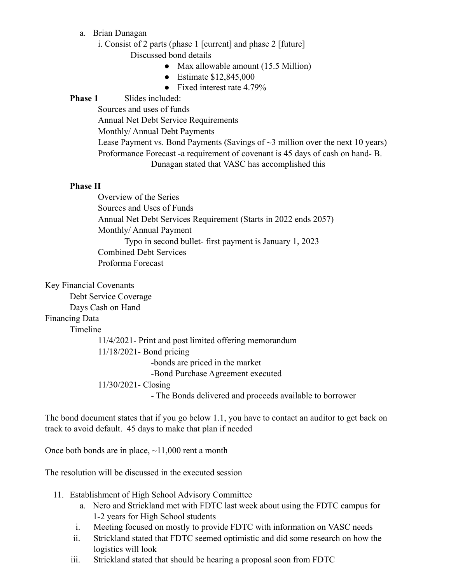- a. Brian Dunagan
	- i. Consist of 2 parts (phase 1 [current] and phase 2 [future] Discussed bond details
		- Max allowable amount (15.5 Million)
		- Estimate \$12,845,000
		- Fixed interest rate 4.79%

### **Phase 1** Slides included:

Sources and uses of funds Annual Net Debt Service Requirements Monthly/ Annual Debt Payments Lease Payment vs. Bond Payments (Savings of  $\sim$ 3 million over the next 10 years) Proformance Forecast -a requirement of covenant is 45 days of cash on hand- B. Dunagan stated that VASC has accomplished this

#### **Phase II**

Overview of the Series Sources and Uses of Funds Annual Net Debt Services Requirement (Starts in 2022 ends 2057) Monthly/ Annual Payment Typo in second bullet- first payment is January 1, 2023 Combined Debt Services Proforma Forecast

Key Financial Covenants

Debt Service Coverage

Days Cash on Hand

# Financing Data

Timeline

11/4/2021- Print and post limited offering memorandum 11/18/2021- Bond pricing -bonds are priced in the market -Bond Purchase Agreement executed 11/30/2021- Closing - The Bonds delivered and proceeds available to borrower

The bond document states that if you go below 1.1, you have to contact an auditor to get back on track to avoid default. 45 days to make that plan if needed

Once both bonds are in place,  $\sim$ 11,000 rent a month

The resolution will be discussed in the executed session

- 11. Establishment of High School Advisory Committee
	- a. Nero and Strickland met with FDTC last week about using the FDTC campus for 1-2 years for High School students
	- i. Meeting focused on mostly to provide FDTC with information on VASC needs
	- ii. Strickland stated that FDTC seemed optimistic and did some research on how the logistics will look
	- iii. Strickland stated that should be hearing a proposal soon from FDTC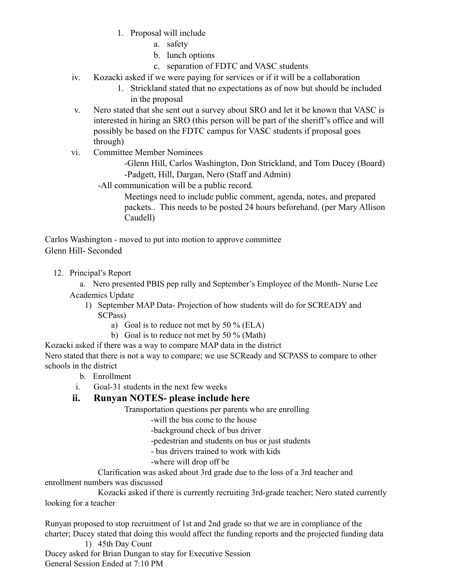- 1. Proposal will include
	- a. safety
	- b. lunch options
	- c. separation of FDTC and VASC students
- iv. Kozacki asked if we were paying for services or if it will be a collaboration
	- 1. Strickland stated that no expectations as of now but should be included in the proposal
- v. Nero stated that she sent out a survey about SRO and let it be known that VASC is interested in hiring an SRO (this person will be part of the sheriff's office and will possibly be based on the FDTC campus for VASC students if proposal goes through)
- vi. Committee Member Nominees

-Glenn Hill, Carlos Washington, Don Strickland, and Tom Ducey (Board) -Padgett, Hill, Dargan, Nero (Staff and Admin)

-All communication will be a public record.

Meetings need to include public comment, agenda, notes, and prepared packets.. This needs to be posted 24 hours beforehand. (per Mary Allison Caudell)

Carlos Washington - moved to put into motion to approve committee Glenn Hill- Seconded

12. Principal's Report

a. Nero presented PBIS pep rally and September's Employee of the Month- Nurse Lee Academics Update

- 1) September MAP Data- Projection of how students will do for SCREADY and SCPass)
	- a) Goal is to reduce not met by 50 % (ELA)
	- b) Goal is to reduce not met by 50 % (Math)

Kozacki asked if there was a way to compare MAP data in the district Nero stated that there is not a way to compare; we use SCReady and SCPASS to compare to other schools in the district

- b. Enrollment
- i. Goal-31 students in the next few weeks

# **ii. Runyan NOTES- please include here**

Transportation questions per parents who are enrolling

-will the bus come to the house

-background check of bus driver

-pedestrian and students on bus or just students

- bus drivers trained to work with kids
- -where will drop off be

Clarification was asked about 3rd grade due to the loss of a 3rd teacher and enrollment numbers was discussed

Kozacki asked if there is currently recruiting 3rd-grade teacher; Nero stated currently looking for a teacher

Runyan proposed to stop recruitment of 1st and 2nd grade so that we are in compliance of the charter; Ducey stated that doing this would affect the funding reports and the projected funding data 1) 45th Day Count

Ducey asked for Brian Dungan to stay for Executive Session General Session Ended at 7:10 PM